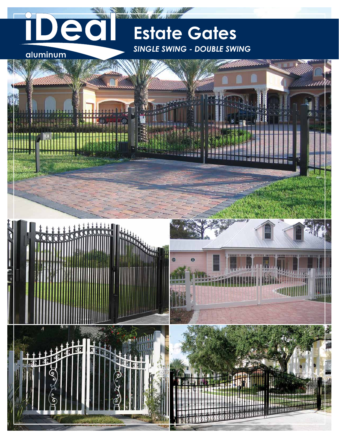## **Estate Gates** *Single swing - double swing*

aluminum

ed